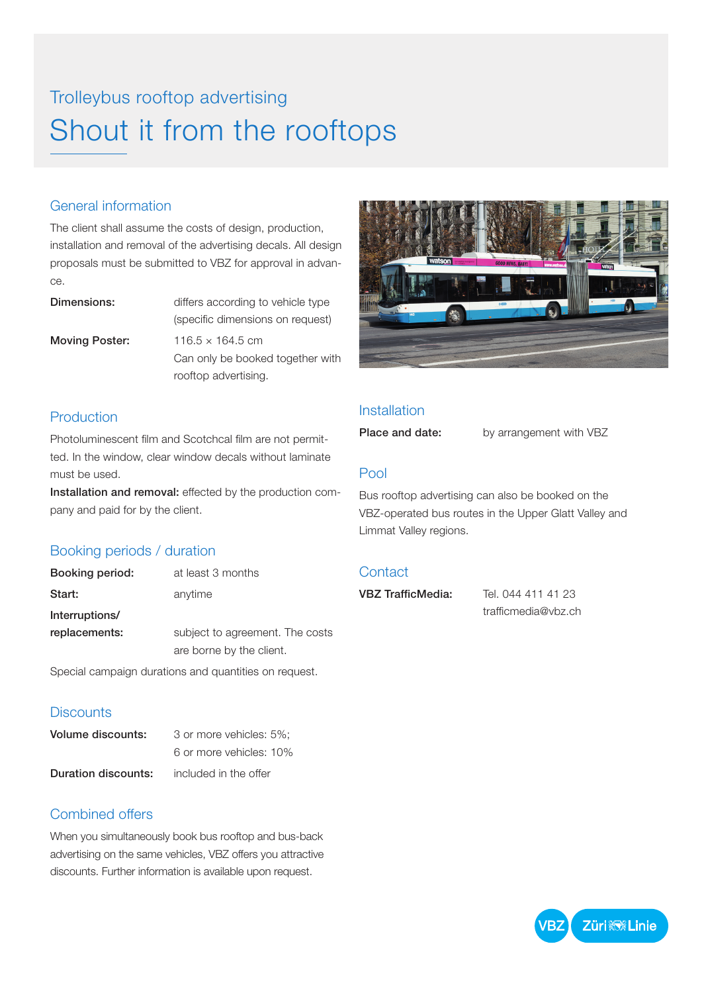# Trolleybus rooftop advertising Shout it from the rooftops

## General information

The client shall assume the costs of design, production, installation and removal of the advertising decals. All design proposals must be submitted to VBZ for approval in advance.

**Dimensions:** differs according to vehicle type (specific dimensions on request) **Moving Poster:**  $116.5 \times 164.5$  cm Can only be booked together with rooftop advertising.

### Production

Photoluminescent film and Scotchcal film are not permitted. In the window, clear window decals without laminate must be used.

Installation and removal: effected by the production company and paid for by the client.

### Booking periods / duration

| Booking period: | at least 3 months               |  |
|-----------------|---------------------------------|--|
| Start:          | anytime                         |  |
| Interruptions/  |                                 |  |
| replacements:   | subject to agreement. The costs |  |
|                 | are borne by the client.        |  |

Special campaign durations and quantities on request.

#### **Discounts**

| Volume discounts:   | 3 or more vehicles: 5%: |  |
|---------------------|-------------------------|--|
|                     | 6 or more vehicles: 10% |  |
| Duration discounts: | included in the offer   |  |

### Combined offers

When you simultaneously book bus rooftop and bus-back advertising on the same vehicles, VBZ offers you attractive discounts. Further information is available upon request.



#### **Installation**

Place and date: by arrangement with VBZ

#### Pool

Bus rooftop advertising can also be booked on the VBZ-operated bus routes in the Upper Glatt Valley and Limmat Valley regions.

#### **Contact**

VBZ TrafficMedia: Tel. 044 411 41 23

trafficmedia@vbz.ch

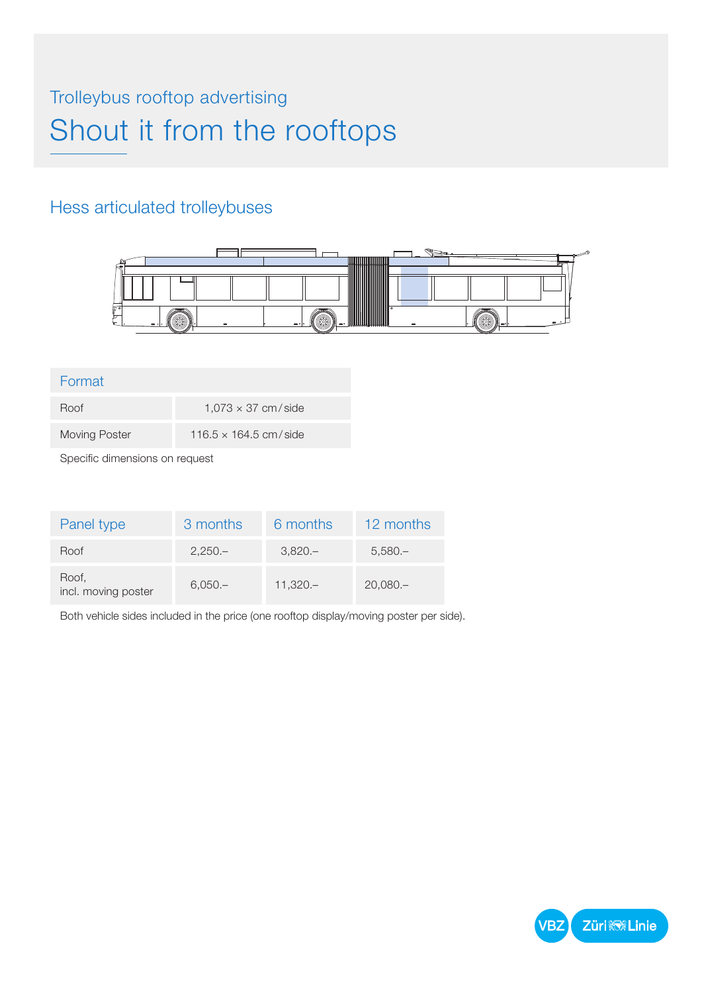# Trolleybus rooftop advertising Shout it from the rooftops

# Hess articulated trolleybuses



#### Format

| Roof          | $1.073 \times 37$ cm/side    |
|---------------|------------------------------|
| Moving Poster | $116.5 \times 164.5$ cm/side |

Specific dimensions on request

| Panel type                   | 3 months  | 6 months  | 12 months  |
|------------------------------|-----------|-----------|------------|
| Roof                         | $2,250-$  | $3,820-$  | $5,580-$   |
| Roof,<br>incl. moving poster | $6,050 -$ | $11,320-$ | $20,080 -$ |

Both vehicle sides included in the price (one rooftop display/moving poster per side).